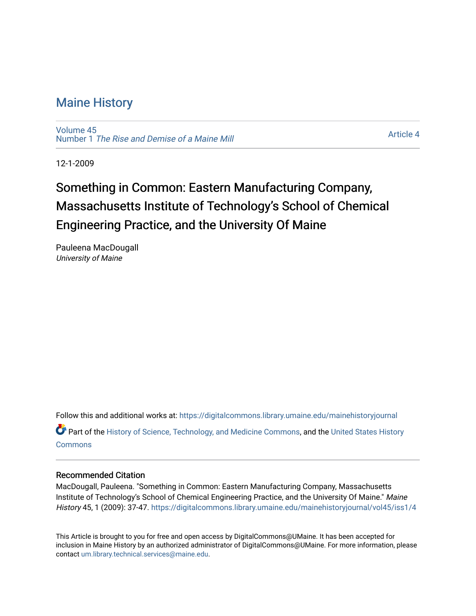### [Maine History](https://digitalcommons.library.umaine.edu/mainehistoryjournal)

[Volume 45](https://digitalcommons.library.umaine.edu/mainehistoryjournal/vol45) Number 1 [The Rise and Demise of a Maine Mill](https://digitalcommons.library.umaine.edu/mainehistoryjournal/vol45/iss1)

[Article 4](https://digitalcommons.library.umaine.edu/mainehistoryjournal/vol45/iss1/4) 

12-1-2009

# Something in Common: Eastern Manufacturing Company, Massachusetts Institute of Technology's School of Chemical Engineering Practice, and the University Of Maine

Pauleena MacDougall University of Maine

Follow this and additional works at: [https://digitalcommons.library.umaine.edu/mainehistoryjournal](https://digitalcommons.library.umaine.edu/mainehistoryjournal?utm_source=digitalcommons.library.umaine.edu%2Fmainehistoryjournal%2Fvol45%2Fiss1%2F4&utm_medium=PDF&utm_campaign=PDFCoverPages) 

Part of the [History of Science, Technology, and Medicine Commons,](http://network.bepress.com/hgg/discipline/500?utm_source=digitalcommons.library.umaine.edu%2Fmainehistoryjournal%2Fvol45%2Fiss1%2F4&utm_medium=PDF&utm_campaign=PDFCoverPages) and the [United States History](http://network.bepress.com/hgg/discipline/495?utm_source=digitalcommons.library.umaine.edu%2Fmainehistoryjournal%2Fvol45%2Fiss1%2F4&utm_medium=PDF&utm_campaign=PDFCoverPages)  **[Commons](http://network.bepress.com/hgg/discipline/495?utm_source=digitalcommons.library.umaine.edu%2Fmainehistoryjournal%2Fvol45%2Fiss1%2F4&utm_medium=PDF&utm_campaign=PDFCoverPages)** 

### Recommended Citation

MacDougall, Pauleena. "Something in Common: Eastern Manufacturing Company, Massachusetts Institute of Technology's School of Chemical Engineering Practice, and the University Of Maine." Maine History 45, 1 (2009): 37-47. [https://digitalcommons.library.umaine.edu/mainehistoryjournal/vol45/iss1/4](https://digitalcommons.library.umaine.edu/mainehistoryjournal/vol45/iss1/4?utm_source=digitalcommons.library.umaine.edu%2Fmainehistoryjournal%2Fvol45%2Fiss1%2F4&utm_medium=PDF&utm_campaign=PDFCoverPages) 

This Article is brought to you for free and open access by DigitalCommons@UMaine. It has been accepted for inclusion in Maine History by an authorized administrator of DigitalCommons@UMaine. For more information, please contact [um.library.technical.services@maine.edu](mailto:um.library.technical.services@maine.edu).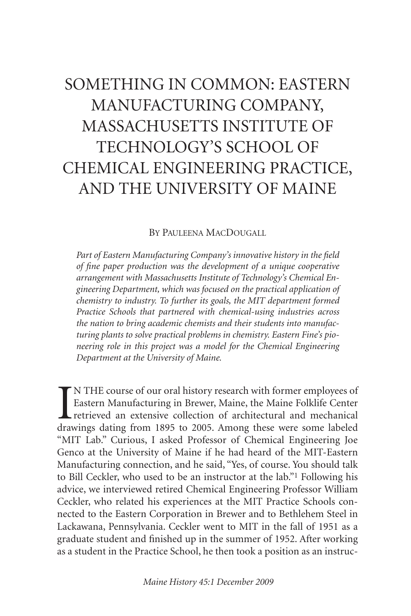## SOMETHING IN COMMON: EASTERN MANUFACTURING COMPANY, MASSACHUSETTS INSTITUTE OF TECHNOLOGY'S SCHOOL OF CHEMICAL ENGINEERING PRACTICE, AND THE UNIVERSITY OF MAINE

#### BY PAULEENA MACDOUGALL

*Part of Eastern Manufacturing Company's innovative history in the field of fine paper production was the development of a unique cooperative arrangement with Massachusetts Institute of Technology's Chemical Engineering Department, which was focused on the practical application of chemistry to industry. To further its goals, the MIT department formed Practice Schools that partnered with chemical-using industries across the nation to bring academic chemists and their students into manufacturing plants to solve practical problems in chemistry. Eastern Fine's pioneering role in this project was a model for the Chemical Engineering Department at the University of Maine.*

IN THE course of our oral history research with former employees of Eastern Manufacturing in Brewer, Maine, the Maine Folklife Center retrieved an extensive collection of architectural and mechanical drawings dating from 1 N THE course of our oral history research with former employees of Eastern Manufacturing in Brewer, Maine, the Maine Folklife Center retrieved an extensive collection of architectural and mechanical "MIT Lab." Curious, I asked Professor of Chemical Engineering Joe Genco at the University of Maine if he had heard of the MIT-Eastern Manufacturing connection, and he said, "Yes, of course. You should talk to Bill Ceckler, who used to be an instructor at the lab."1 Following his advice, we interviewed retired Chemical Engineering Professor William Ceckler, who related his experiences at the MIT Practice Schools connected to the Eastern Corporation in Brewer and to Bethlehem Steel in Lackawana, Pennsylvania. Ceckler went to MIT in the fall of 1951 as a graduate student and finished up in the summer of 1952. After working as a student in the Practice School, he then took a position as an instruc-

*Maine History 45:1 December 2009*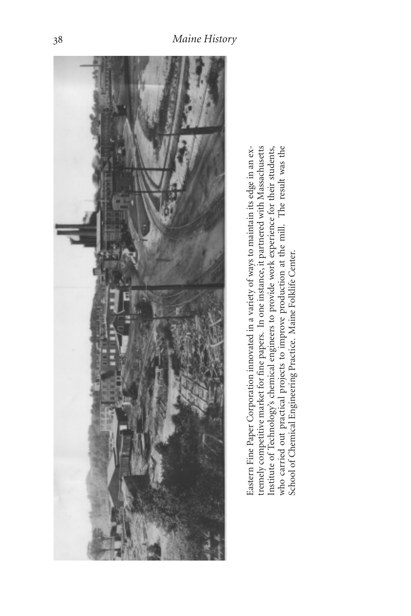

Eastern Fine Paper Corporation innovated in a variety of ways to maintain its edge in an extremely competitive market for fine papers. In one instance, it partnered with Massachusetts Institute of Technology's chemical engineers to provide work experience for their students, who carried out practical projects to improve production at the mill. The result was the School of Chemical Engineering Practice. Maine Folklife Center. Eastern Fine Paper Corporation innovated in a variety of ways to maintain its edge in an extremely competitive market for fine papers. In one instance, it partnered with Massachusetts Institute of Technology's chemical engineers to provide work experience for their students, who carried out practical projects to improve production at the mill. The result was the School of Chemical Engineering Practice. Maine Folklife Center.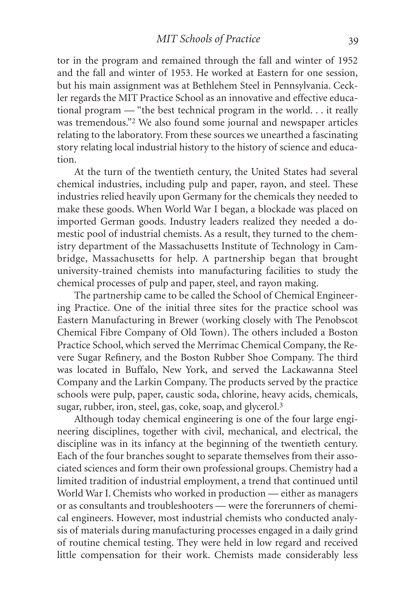tor in the program and remained through the fall and winter of 1952 and the fall and winter of 1953. He worked at Eastern for one session, but his main assignment was at Bethlehem Steel in Pennsylvania. Ceckler regards the MIT Practice School as an innovative and effective educational program — "the best technical program in the world. . . it really was tremendous."2 We also found some journal and newspaper articles relating to the laboratory. From these sources we unearthed a fascinating story relating local industrial history to the history of science and education.

At the turn of the twentieth century, the United States had several chemical industries, including pulp and paper, rayon, and steel. These industries relied heavily upon Germany for the chemicals they needed to make these goods. When World War I began, a blockade was placed on imported German goods. Industry leaders realized they needed a domestic pool of industrial chemists. As a result, they turned to the chemistry department of the Massachusetts Institute of Technology in Cambridge, Massachusetts for help. A partnership began that brought university-trained chemists into manufacturing facilities to study the chemical processes of pulp and paper, steel, and rayon making.

The partnership came to be called the School of Chemical Engineering Practice. One of the initial three sites for the practice school was Eastern Manufacturing in Brewer (working closely with The Penobscot Chemical Fibre Company of Old Town). The others included a Boston Practice School, which served the Merrimac Chemical Company, the Revere Sugar Refinery, and the Boston Rubber Shoe Company. The third was located in Buffalo, New York, and served the Lackawanna Steel Company and the Larkin Company. The products served by the practice schools were pulp, paper, caustic soda, chlorine, heavy acids, chemicals, sugar, rubber, iron, steel, gas, coke, soap, and glycerol.3

Although today chemical engineering is one of the four large engineering disciplines, together with civil, mechanical, and electrical, the discipline was in its infancy at the beginning of the twentieth century. Each of the four branches sought to separate themselves from their associated sciences and form their own professional groups. Chemistry had a limited tradition of industrial employment, a trend that continued until World War I. Chemists who worked in production — either as managers or as consultants and troubleshooters — were the forerunners of chemical engineers. However, most industrial chemists who conducted analysis of materials during manufacturing processes engaged in a daily grind of routine chemical testing. They were held in low regard and received little compensation for their work. Chemists made considerably less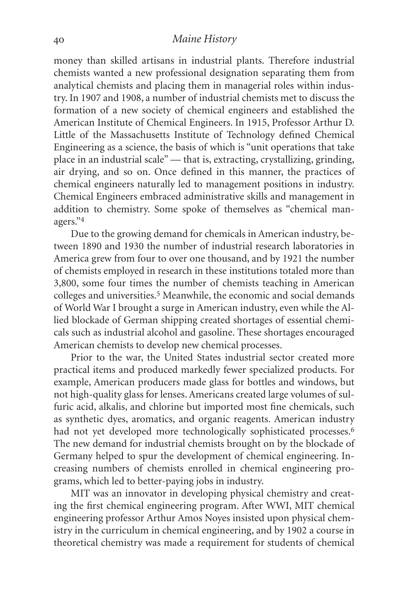#### *Maine History*

money than skilled artisans in industrial plants. Therefore industrial chemists wanted a new professional designation separating them from analytical chemists and placing them in managerial roles within industry. In 1907 and 1908, a number of industrial chemists met to discuss the formation of a new society of chemical engineers and established the American Institute of Chemical Engineers. In 1915, Professor Arthur D. Little of the Massachusetts Institute of Technology defined Chemical Engineering as a science, the basis of which is "unit operations that take place in an industrial scale" — that is, extracting, crystallizing, grinding, air drying, and so on. Once defined in this manner, the practices of chemical engineers naturally led to management positions in industry. Chemical Engineers embraced administrative skills and management in addition to chemistry. Some spoke of themselves as "chemical managers."4

Due to the growing demand for chemicals in American industry, between 1890 and 1930 the number of industrial research laboratories in America grew from four to over one thousand, and by 1921 the number of chemists employed in research in these institutions totaled more than 3,800, some four times the number of chemists teaching in American colleges and universities.<sup>5</sup> Meanwhile, the economic and social demands of World War I brought a surge in American industry, even while the Allied blockade of German shipping created shortages of essential chemicals such as industrial alcohol and gasoline. These shortages encouraged American chemists to develop new chemical processes.

Prior to the war, the United States industrial sector created more practical items and produced markedly fewer specialized products. For example, American producers made glass for bottles and windows, but not high-quality glass for lenses. Americans created large volumes of sulfuric acid, alkalis, and chlorine but imported most fine chemicals, such as synthetic dyes, aromatics, and organic reagents. American industry had not yet developed more technologically sophisticated processes.<sup>6</sup> The new demand for industrial chemists brought on by the blockade of Germany helped to spur the development of chemical engineering. Increasing numbers of chemists enrolled in chemical engineering programs, which led to better-paying jobs in industry.

MIT was an innovator in developing physical chemistry and creating the first chemical engineering program. After WWI, MIT chemical engineering professor Arthur Amos Noyes insisted upon physical chemistry in the curriculum in chemical engineering, and by 1902 a course in theoretical chemistry was made a requirement for students of chemical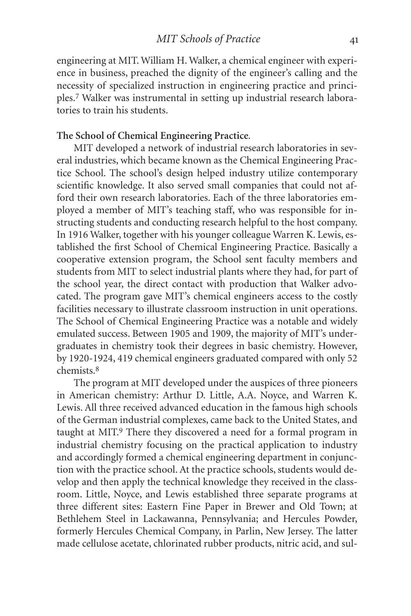engineering at MIT. William H. Walker, a chemical engineer with experience in business, preached the dignity of the engineer's calling and the necessity of specialized instruction in engineering practice and principles.7 Walker was instrumental in setting up industrial research laboratories to train his students.

#### **The School of Chemical Engineering Practice**.

MIT developed a network of industrial research laboratories in several industries, which became known as the Chemical Engineering Practice School. The school's design helped industry utilize contemporary scientific knowledge. It also served small companies that could not afford their own research laboratories. Each of the three laboratories employed a member of MIT's teaching staff, who was responsible for instructing students and conducting research helpful to the host company. In 1916 Walker, together with his younger colleague Warren K. Lewis, established the first School of Chemical Engineering Practice. Basically a cooperative extension program, the School sent faculty members and students from MIT to select industrial plants where they had, for part of the school year, the direct contact with production that Walker advocated. The program gave MIT's chemical engineers access to the costly facilities necessary to illustrate classroom instruction in unit operations. The School of Chemical Engineering Practice was a notable and widely emulated success. Between 1905 and 1909, the majority of MIT's undergraduates in chemistry took their degrees in basic chemistry. However, by 1920-1924, 419 chemical engineers graduated compared with only 52 chemists.8

The program at MIT developed under the auspices of three pioneers in American chemistry: Arthur D. Little, A.A. Noyce, and Warren K. Lewis. All three received advanced education in the famous high schools of the German industrial complexes, came back to the United States, and taught at MIT.9 There they discovered a need for a formal program in industrial chemistry focusing on the practical application to industry and accordingly formed a chemical engineering department in conjunction with the practice school. At the practice schools, students would develop and then apply the technical knowledge they received in the classroom. Little, Noyce, and Lewis established three separate programs at three different sites: Eastern Fine Paper in Brewer and Old Town; at Bethlehem Steel in Lackawanna, Pennsylvania; and Hercules Powder, formerly Hercules Chemical Company, in Parlin, New Jersey. The latter made cellulose acetate, chlorinated rubber products, nitric acid, and sul-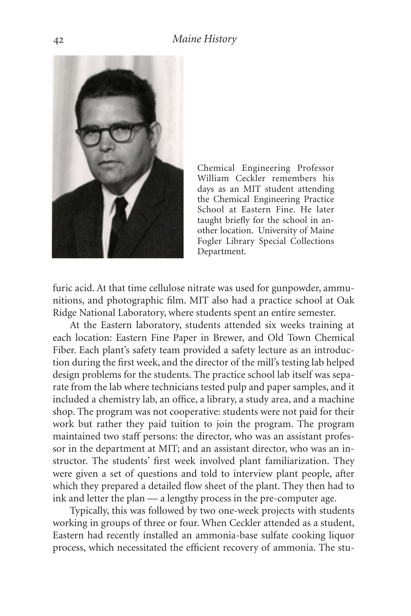

Chemical Engineering Professor William Ceckler remembers his days as an MIT student attending the Chemical Engineering Practice School at Eastern Fine. He later taught briefly for the school in another location. University of Maine Fogler Library Special Collections Department.

furic acid. At that time cellulose nitrate was used for gunpowder, ammunitions, and photographic film. MIT also had a practice school at Oak Ridge National Laboratory, where students spent an entire semester.

At the Eastern laboratory, students attended six weeks training at each location: Eastern Fine Paper in Brewer, and Old Town Chemical Fiber. Each plant's safety team provided a safety lecture as an introduction during the first week, and the director of the mill's testing lab helped design problems for the students. The practice school lab itself was separate from the lab where technicians tested pulp and paper samples, and it included a chemistry lab, an office, a library, a study area, and a machine shop. The program was not cooperative: students were not paid for their work but rather they paid tuition to join the program. The program maintained two staff persons: the director, who was an assistant professor in the department at MIT; and an assistant director, who was an instructor. The students' first week involved plant familiarization. They were given a set of questions and told to interview plant people, after which they prepared a detailed flow sheet of the plant. They then had to ink and letter the plan — a lengthy process in the pre-computer age.

Typically, this was followed by two one-week projects with students working in groups of three or four. When Ceckler attended as a student, Eastern had recently installed an ammonia-base sulfate cooking liquor process, which necessitated the efficient recovery of ammonia. The stu-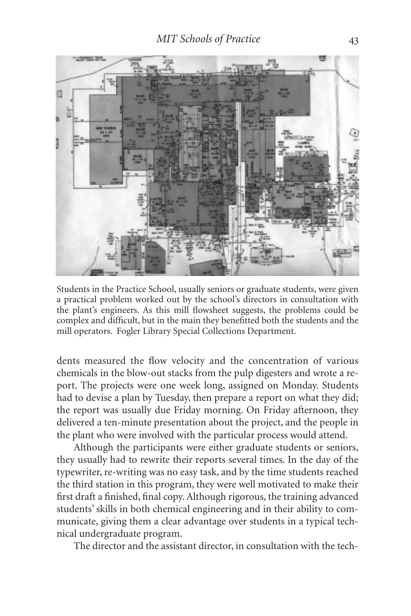

Students in the Practice School, usually seniors or graduate students, were given a practical problem worked out by the school's directors in consultation with the plant's engineers. As this mill flowsheet suggests, the problems could be complex and difficult, but in the main they benefitted both the students and the mill operators. Fogler Library Special Collections Department.

dents measured the flow velocity and the concentration of various chemicals in the blow-out stacks from the pulp digesters and wrote a report. The projects were one week long, assigned on Monday. Students had to devise a plan by Tuesday, then prepare a report on what they did; the report was usually due Friday morning. On Friday afternoon, they delivered a ten-minute presentation about the project, and the people in the plant who were involved with the particular process would attend.

Although the participants were either graduate students or seniors, they usually had to rewrite their reports several times. In the day of the typewriter, re-writing was no easy task, and by the time students reached the third station in this program, they were well motivated to make their first draft a finished, final copy. Although rigorous, the training advanced students' skills in both chemical engineering and in their ability to communicate, giving them a clear advantage over students in a typical technical undergraduate program.

The director and the assistant director, in consultation with the tech-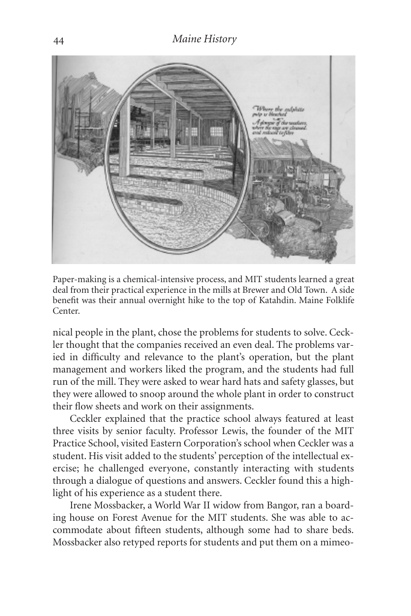

Paper-making is a chemical-intensive process, and MIT students learned a great deal from their practical experience in the mills at Brewer and Old Town. A side benefit was their annual overnight hike to the top of Katahdin. Maine Folklife Center.

nical people in the plant, chose the problems for students to solve. Ceckler thought that the companies received an even deal. The problems varied in difficulty and relevance to the plant's operation, but the plant management and workers liked the program, and the students had full run of the mill. They were asked to wear hard hats and safety glasses, but they were allowed to snoop around the whole plant in order to construct their flow sheets and work on their assignments.

Ceckler explained that the practice school always featured at least three visits by senior faculty. Professor Lewis, the founder of the MIT Practice School, visited Eastern Corporation's school when Ceckler was a student. His visit added to the students' perception of the intellectual exercise; he challenged everyone, constantly interacting with students through a dialogue of questions and answers. Ceckler found this a highlight of his experience as a student there.

Irene Mossbacker, a World War II widow from Bangor, ran a boarding house on Forest Avenue for the MIT students. She was able to accommodate about fifteen students, although some had to share beds. Mossbacker also retyped reports for students and put them on a mimeo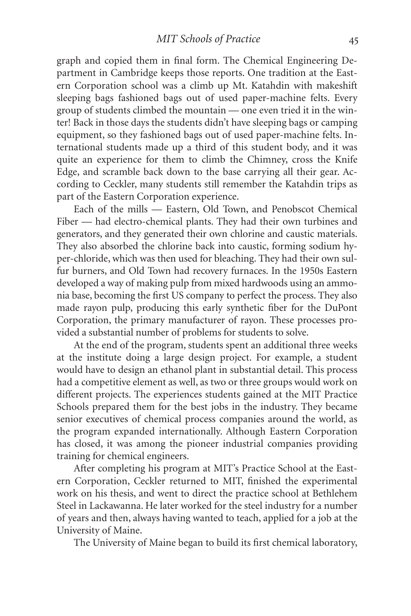graph and copied them in final form. The Chemical Engineering Department in Cambridge keeps those reports. One tradition at the Eastern Corporation school was a climb up Mt. Katahdin with makeshift sleeping bags fashioned bags out of used paper-machine felts. Every group of students climbed the mountain — one even tried it in the winter! Back in those days the students didn't have sleeping bags or camping equipment, so they fashioned bags out of used paper-machine felts. International students made up a third of this student body, and it was quite an experience for them to climb the Chimney, cross the Knife Edge, and scramble back down to the base carrying all their gear. According to Ceckler, many students still remember the Katahdin trips as part of the Eastern Corporation experience.

Each of the mills — Eastern, Old Town, and Penobscot Chemical Fiber — had electro-chemical plants. They had their own turbines and generators, and they generated their own chlorine and caustic materials. They also absorbed the chlorine back into caustic, forming sodium hyper-chloride, which was then used for bleaching. They had their own sulfur burners, and Old Town had recovery furnaces. In the 1950s Eastern developed a way of making pulp from mixed hardwoods using an ammonia base, becoming the first US company to perfect the process. They also made rayon pulp, producing this early synthetic fiber for the DuPont Corporation, the primary manufacturer of rayon. These processes provided a substantial number of problems for students to solve.

At the end of the program, students spent an additional three weeks at the institute doing a large design project. For example, a student would have to design an ethanol plant in substantial detail. This process had a competitive element as well, as two or three groups would work on different projects. The experiences students gained at the MIT Practice Schools prepared them for the best jobs in the industry. They became senior executives of chemical process companies around the world, as the program expanded internationally. Although Eastern Corporation has closed, it was among the pioneer industrial companies providing training for chemical engineers.

After completing his program at MIT's Practice School at the Eastern Corporation, Ceckler returned to MIT, finished the experimental work on his thesis, and went to direct the practice school at Bethlehem Steel in Lackawanna. He later worked for the steel industry for a number of years and then, always having wanted to teach, applied for a job at the University of Maine.

The University of Maine began to build its first chemical laboratory,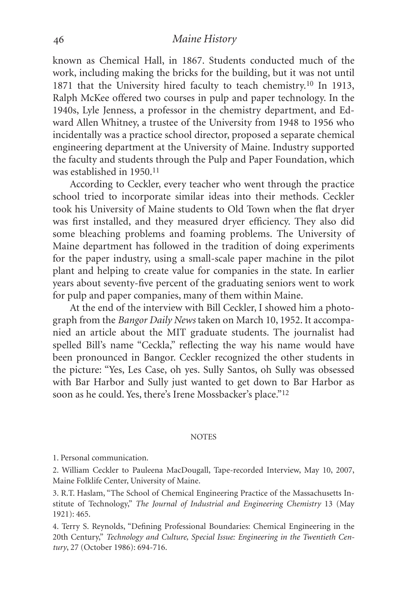known as Chemical Hall, in 1867. Students conducted much of the work, including making the bricks for the building, but it was not until 1871 that the University hired faculty to teach chemistry.10 In 1913, Ralph McKee offered two courses in pulp and paper technology. In the 1940s, Lyle Jenness, a professor in the chemistry department, and Edward Allen Whitney, a trustee of the University from 1948 to 1956 who incidentally was a practice school director, proposed a separate chemical engineering department at the University of Maine. Industry supported the faculty and students through the Pulp and Paper Foundation, which was established in 1950.11

According to Ceckler, every teacher who went through the practice school tried to incorporate similar ideas into their methods. Ceckler took his University of Maine students to Old Town when the flat dryer was first installed, and they measured dryer efficiency. They also did some bleaching problems and foaming problems. The University of Maine department has followed in the tradition of doing experiments for the paper industry, using a small-scale paper machine in the pilot plant and helping to create value for companies in the state. In earlier years about seventy-five percent of the graduating seniors went to work for pulp and paper companies, many of them within Maine.

At the end of the interview with Bill Ceckler, I showed him a photograph from the *Bangor Daily News* taken on March 10, 1952. It accompanied an article about the MIT graduate students. The journalist had spelled Bill's name "Ceckla," reflecting the way his name would have been pronounced in Bangor. Ceckler recognized the other students in the picture: "Yes, Les Case, oh yes. Sully Santos, oh Sully was obsessed with Bar Harbor and Sully just wanted to get down to Bar Harbor as soon as he could. Yes, there's Irene Mossbacker's place."12

#### **NOTES**

1. Personal communication.

2. William Ceckler to Pauleena MacDougall, Tape-recorded Interview, May 10, 2007, Maine Folklife Center, University of Maine.

3. R.T. Haslam, "The School of Chemical Engineering Practice of the Massachusetts Institute of Technology," *The Journal of Industrial and Engineering Chemistry* 13 (May 1921): 465.

4. Terry S. Reynolds, "Defining Professional Boundaries: Chemical Engineering in the 20th Century," *Technology and Culture, Special Issue: Engineering in the Twentieth Century*, 27 (October 1986): 694-716.